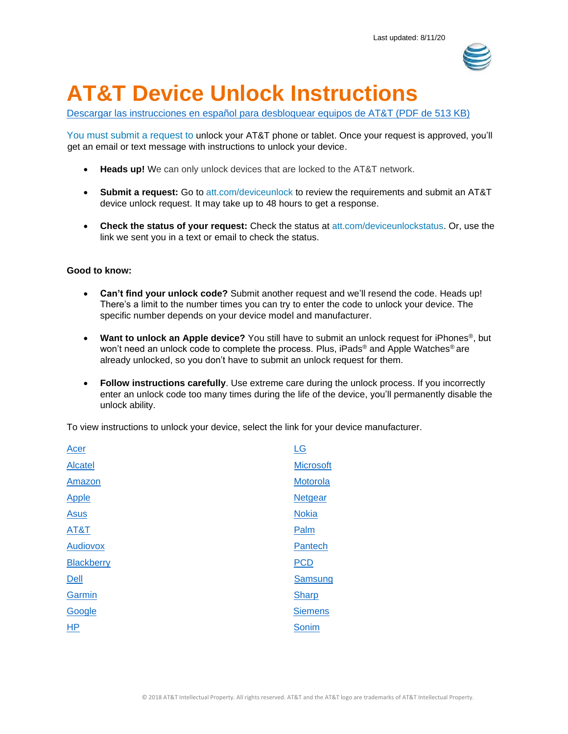

# **AT&T Device Unlock Instructions**

[Descargar las instrucciones en español para desbloquear equipos de AT&T \(PDF de 513 KB\)](https://www.att.com/ecms/dam/att/consumer/help/pdf/ATTMobilityDeviceUnlockCodeInstructions-Spanish.pdf) 

You must submit a request to unlock your AT&T phone or tablet. Once your request is approved, you'll get an email or text message with instructions to unlock your device.

- **Heads up!** We can only unlock devices that are locked to the AT&T network.
- **Submit a request:** Go to [att.com/deviceunlock t](https://www.att.com/deviceunlock)o review the requirements and submit an AT&T device unlock request. It may take up to 48 hours to get a response.
- **Check the status of your request:** Check the status at [att.com/deviceunlockstatus.](https://www.att.com/deviceunlockstatus) Or, use the link we sent you in a text or email to check the status.

#### **Good to know:**

- **Can't find your unlock code?** Submit another request and we'll resend the code. Heads up! There's a limit to the number times you can try to enter the code to unlock your device. The specific number depends on your device model and manufacturer.
- **Want to unlock an Apple device?** You still have to submit an unlock request for iPhones®, but won't need an unlock code to complete the process. Plus, iPads® and Apple Watches® are already unlocked, so you don't have to submit an unlock request for them.
- **Follow instructions carefully**. Use extreme care during the unlock process. If you incorrectly enter an unlock code too many times during the life of the device, you'll permanently disable the unlock ability.

To view instructions to unlock your device, select the link for your device manufacturer.

| <b>Microsoft</b><br><b>Alcatel</b><br>Motorola<br>Amazon<br><b>Netgear</b><br><b>Nokia</b><br><b>Asus</b><br>AT&T<br>Palm<br><b>Audiovox</b><br>Pantech<br><b>PCD</b><br><b>Blackberry</b><br>Samsung<br>Dell<br>Garmin<br><b>Sharp</b><br>Google<br><b>Siemens</b><br><b>HP</b><br>Sonim | Acer         | LG |
|-------------------------------------------------------------------------------------------------------------------------------------------------------------------------------------------------------------------------------------------------------------------------------------------|--------------|----|
|                                                                                                                                                                                                                                                                                           |              |    |
|                                                                                                                                                                                                                                                                                           |              |    |
|                                                                                                                                                                                                                                                                                           | <b>Apple</b> |    |
|                                                                                                                                                                                                                                                                                           |              |    |
|                                                                                                                                                                                                                                                                                           |              |    |
|                                                                                                                                                                                                                                                                                           |              |    |
|                                                                                                                                                                                                                                                                                           |              |    |
|                                                                                                                                                                                                                                                                                           |              |    |
|                                                                                                                                                                                                                                                                                           |              |    |
|                                                                                                                                                                                                                                                                                           |              |    |
|                                                                                                                                                                                                                                                                                           |              |    |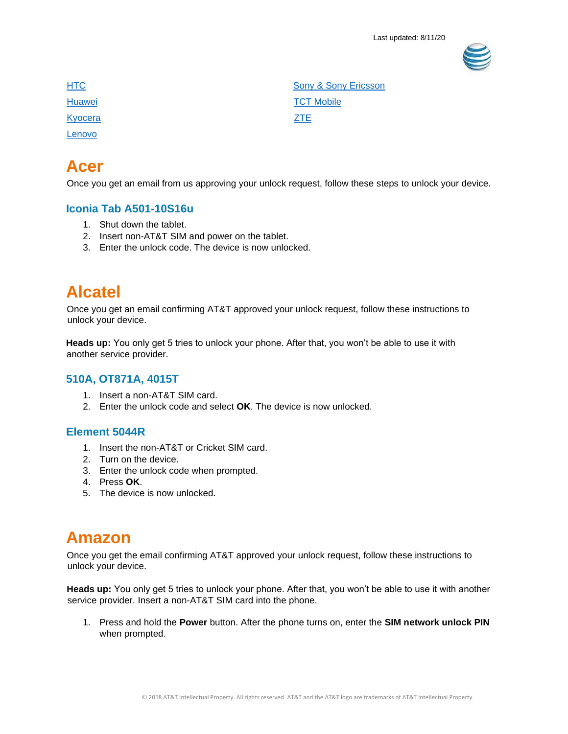

[Kyocera](#page-11-1) **[ZTE](#page-27-1)** [Lenovo](#page-11-2)

**[HTC](#page-10-0)** [Sony & Sony Ericsson](#page-26-0) [Huawei](#page-10-1) **TCT** Mobile

## <span id="page-1-0"></span>**Acer**

Once you get an email from us approving your unlock request, follow these steps to unlock your device.

## **Iconia Tab A501-10S16u**

- 1. Shut down the tablet.
- 2. Insert non-AT&T SIM and power on the tablet.
- 3. Enter the unlock code. The device is now unlocked.

## <span id="page-1-1"></span>**Alcatel**

Once you get an email confirming AT&T approved your unlock request, follow these instructions to unlock your device.

**Heads up:** You only get 5 tries to unlock your phone. After that, you won't be able to use it with another service provider.

### **510A, OT871A, 4015T**

- 1. Insert a non-AT&T SIM card.
- 2. Enter the unlock code and select **OK**. The device is now unlocked.

## **Element 5044R**

- 1. Insert the non-AT&T or Cricket SIM card.
- 2. Turn on the device.
- 3. Enter the unlock code when prompted.
- 4. Press **OK**.
- <span id="page-1-2"></span>5. The device is now unlocked.

## **Amazon**

Once you get the email confirming AT&T approved your unlock request, follow these instructions to unlock your device.

**Heads up:** You only get 5 tries to unlock your phone. After that, you won't be able to use it with another service provider. Insert a non-AT&T SIM card into the phone.

1. Press and hold the **Power** button. After the phone turns on, enter the **SIM network unlock PIN**  when prompted.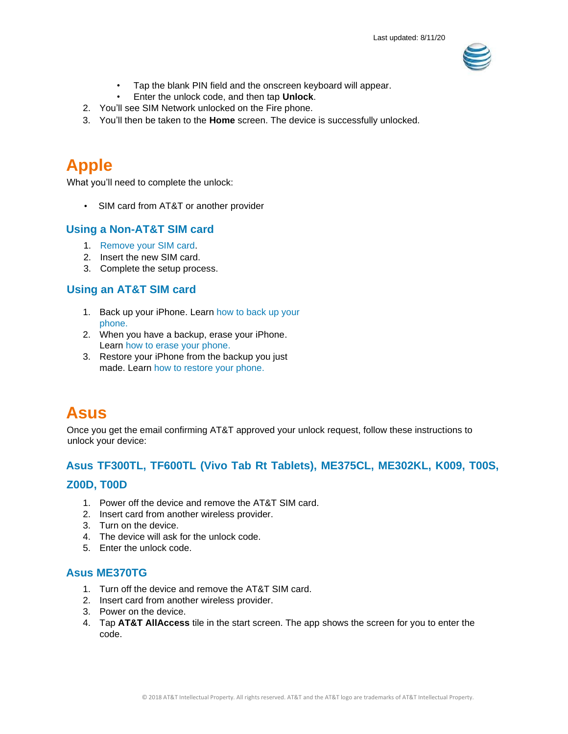

- Tap the blank PIN field and the onscreen keyboard will appear.
- Enter the unlock code, and then tap **Unlock**.
- 2. You'll see SIM Network unlocked on the Fire phone.
- 3. You'll then be taken to the **Home** screen. The device is successfully unlocked.

## <span id="page-2-0"></span>**Apple**

What you'll need to complete the unlock:

• SIM card from AT&T or another provider

### **Using a Non-AT&T SIM card**

- 1. [Remove your SIM card.](https://support.apple.com/en-us/HT201337)
- 2. Insert the new SIM card.
- 3. Complete the setup process.

### **Using an AT&T SIM card**

- 1. Back up your iPhone. Learn [how to back up](https://support.apple.com/en-us/HT203977) your phone[.](https://support.apple.com/en-us/HT203977)
- 2. When you have a backup, erase your iPhone. Learn [how to erase your phone.](https://support.apple.com/en-us/HT201274)
- 3. Restore your iPhone from the backup you just made. Learn [how to restore your phone.](https://support.apple.com/en-us/HT204184)

## <span id="page-2-1"></span>**Asus**

Once you get the email confirming AT&T approved your unlock request, follow these instructions to unlock your device:

### **Asus TF300TL, TF600TL (Vivo Tab Rt Tablets), ME375CL, ME302KL, K009, T00S,**

#### **Z00D, T00D**

- 1. Power off the device and remove the AT&T SIM card.
- 2. Insert card from another wireless provider.
- 3. Turn on the device.
- 4. The device will ask for the unlock code.
- 5. Enter the unlock code.

### **Asus ME370TG**

- 1. Turn off the device and remove the AT&T SIM card.
- 2. Insert card from another wireless provider.
- 3. Power on the device.
- 4. Tap **AT&T AllAccess** tile in the start screen. The app shows the screen for you to enter the code.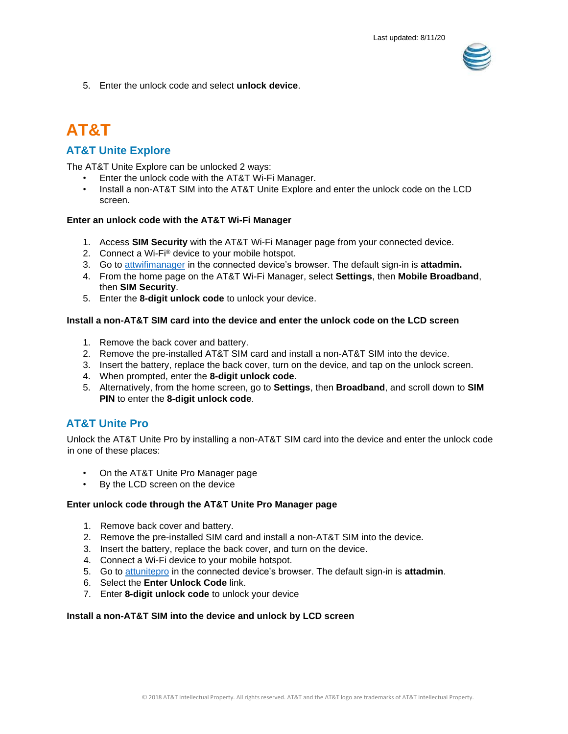

5. Enter the unlock code and select **unlock device**.

## <span id="page-3-0"></span>**AT&T**

## **AT&T Unite Explore**

The AT&T Unite Explore can be unlocked 2 ways:

- Enter the unlock code with the AT&T Wi-Fi Manager.
- Install a non-AT&T SIM into the AT&T Unite Explore and enter the unlock code on the LCD screen.

#### **Enter an unlock code with the AT&T Wi-Fi Manager**

- 1. Access **SIM Security** with the AT&T Wi-Fi Manager page from your connected device.
- 2. Connect a Wi-Fi® device to your mobile hotspot.
- 3. Go to [attwifimanager](file:///C:/Users/es229u/AppData/Roaming/SBC/Q%20Team%20Link%20Messenger/Downloads/Files/65156944H2942H5411/attwifimanager) [in](http://attwifimanager/) the connected device's browser. The default sign-in is **attadmin.**
- 4. From the home page on the AT&T Wi-Fi Manager, select **Settings**, then **Mobile Broadband**, then **SIM Security**.
- 5. Enter the **8-digit unlock code** to unlock your device.

#### **Install a non-AT&T SIM card into the device and enter the unlock code on the LCD screen**

- 1. Remove the back cover and battery.
- 2. Remove the pre-installed AT&T SIM card and install a non-AT&T SIM into the device.
- 3. Insert the battery, replace the back cover, turn on the device, and tap on the unlock screen.
- 4. When prompted, enter the **8-digit unlock code**.
- 5. Alternatively, from the home screen, go to **Settings**, then **Broadband**, and scroll down to **SIM PIN** to enter the **8-digit unlock code**.

### **AT&T Unite Pro**

Unlock the AT&T Unite Pro by installing a non-AT&T SIM card into the device and enter the unlock code in one of these places:

- On the AT&T Unite Pro Manager page
- By the LCD screen on the device

#### **Enter unlock code through the AT&T Unite Pro Manager page**

- 1. Remove back cover and battery.
- 2. Remove the pre-installed SIM card and install a non-AT&T SIM into the device.
- 3. Insert the battery, replace the back cover, and turn on the device.
- 4. Connect a Wi-Fi device to your mobile hotspot.
- 5. Go to [attunitepro](file:///C:/Users/es229u/AppData/Roaming/SBC/Q%20Team%20Link%20Messenger/Downloads/Files/65156944H2942H5411/attunitepro) [in](http://attunitepro/) the connected device's browser. The default sign-in is **attadmin**.
- 6. Select the **Enter Unlock Code** link.
- 7. Enter **8-digit unlock code** to unlock your device

#### **Install a non-AT&T SIM into the device and unlock by LCD screen**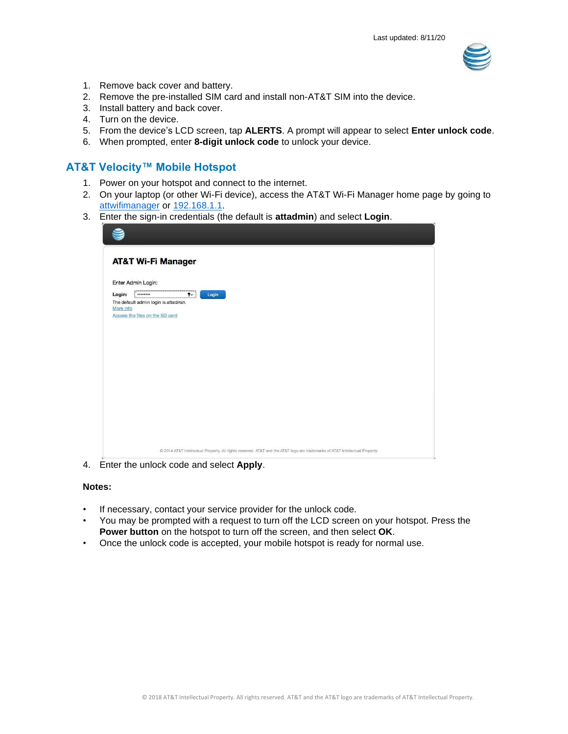

- 1. Remove back cover and battery.
- 2. Remove the pre-installed SIM card and install non-AT&T SIM into the device.
- 3. Install battery and back cover.
- 4. Turn on the device.
- 5. From the device's LCD screen, tap **ALERTS**. A prompt will appear to select **Enter unlock code**.
- 6. When prompted, enter **8-digit unlock code** to unlock your device.

### **AT&T Velocity™ Mobile Hotspot**

- 1. Power on your hotspot and connect to the internet.
- 2. On your laptop (or other Wi-Fi device), access the AT&T Wi-Fi Manager home page by going to [attwifimanager](file:///C:/Users/es229u/AppData/Roaming/SBC/Q%20Team%20Link%20Messenger/Downloads/Files/65156944H2942H5411/attwifimanager) or [192.168.1.1](file:///C:/Users/es229u/AppData/Roaming/SBC/Q%20Team%20Link%20Messenger/Downloads/Files/65156944H2942H5411/192.168.1.1)[.](http://192.168.1.1/)
- 3. Enter the sign-in credentials (the default is **attadmin**) and select **Login**.

|           | <b>AT&amp;T Wi-Fi Manager</b>                                                                                                |  |
|-----------|------------------------------------------------------------------------------------------------------------------------------|--|
|           | Enter Admin Login:                                                                                                           |  |
| Login:    | $\mathbf{f}$<br><br>Login                                                                                                    |  |
| More info | The default admin login is attadmin.                                                                                         |  |
|           | Access the files on the SD card                                                                                              |  |
|           |                                                                                                                              |  |
|           |                                                                                                                              |  |
|           |                                                                                                                              |  |
|           |                                                                                                                              |  |
|           |                                                                                                                              |  |
|           |                                                                                                                              |  |
|           |                                                                                                                              |  |
|           |                                                                                                                              |  |
|           |                                                                                                                              |  |
|           |                                                                                                                              |  |
|           |                                                                                                                              |  |
|           |                                                                                                                              |  |
|           | @ 2014 AT&T Intellectual Property. All rights reserved. AT&T and the AT&T logo are trademarks of AT&T Intellectual Property. |  |

4. Enter the unlock code and select **Apply**.

#### **Notes:**

- If necessary, contact your service provider for the unlock code.
- You may be prompted with a request to turn off the LCD screen on your hotspot. Press the **Power button** on the hotspot to turn off the screen, and then select **OK**.
- Once the unlock code is accepted, your mobile hotspot is ready for normal use.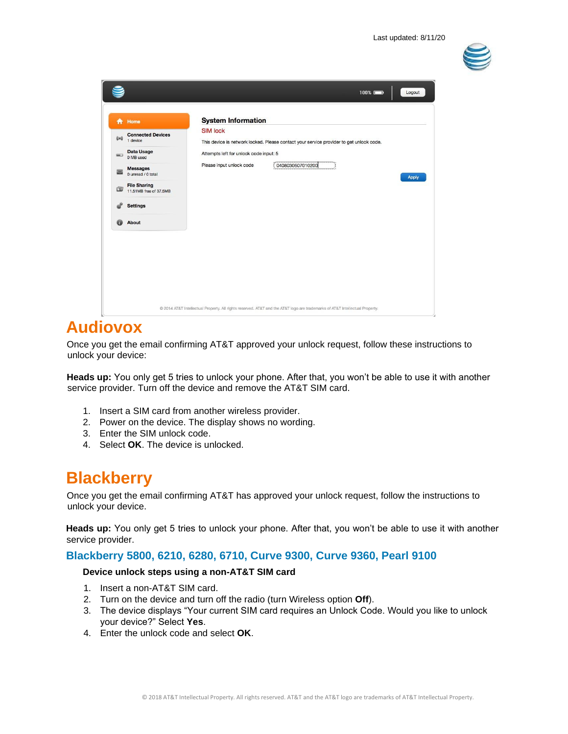

| 合            | Home                                          | <b>System Information</b>                                                                                  |
|--------------|-----------------------------------------------|------------------------------------------------------------------------------------------------------------|
| $((\omega))$ | <b>Connected Devices</b><br>1 device          | <b>SIM lock</b><br>This device is network locked. Please contact your service provider to get unlock code. |
| $=$          | Data Usage<br>0 MB used                       | Attempts left for unlock code input: 5                                                                     |
|              | <b>Messages</b><br>0 unread / 0 total         | 0408030607010200<br>Please input unlock code<br><b>Apply</b>                                               |
| 団            | <b>File Sharing</b><br>11,51MB free of 37,5MB |                                                                                                            |
|              | <b>Settings</b>                               |                                                                                                            |
| $\circ$      | About                                         |                                                                                                            |
|              |                                               |                                                                                                            |
|              |                                               |                                                                                                            |
|              |                                               |                                                                                                            |

## <span id="page-5-0"></span>**Audiovox**

Once you get the email confirming AT&T approved your unlock request, follow these instructions to unlock your device:

**Heads up:** You only get 5 tries to unlock your phone. After that, you won't be able to use it with another service provider. Turn off the device and remove the AT&T SIM card.

- 1. Insert a SIM card from another wireless provider.
- 2. Power on the device. The display shows no wording.
- 3. Enter the SIM unlock code.
- 4. Select **OK**. The device is unlocked.

## <span id="page-5-1"></span>**Blackberry**

Once you get the email confirming AT&T has approved your unlock request, follow the instructions to unlock your device.

**Heads up:** You only get 5 tries to unlock your phone. After that, you won't be able to use it with another service provider.

#### **Blackberry 5800, 6210, 6280, 6710, Curve 9300, Curve 9360, Pearl 9100**

#### **Device unlock steps using a non-AT&T SIM card**

- 1. Insert a non-AT&T SIM card.
- 2. Turn on the device and turn off the radio (turn Wireless option **Off**).
- 3. The device displays "Your current SIM card requires an Unlock Code. Would you like to unlock your device?" Select **Yes**.
- 4. Enter the unlock code and select **OK**.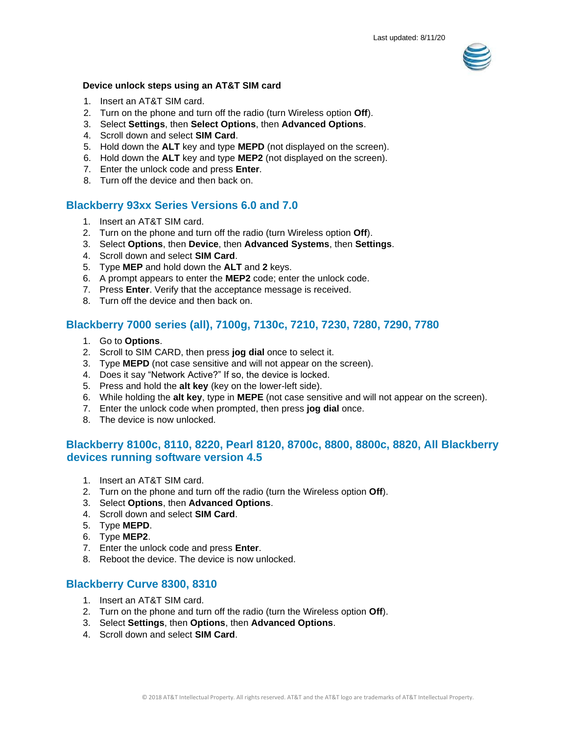

#### **Device unlock steps using an AT&T SIM card**

- 1. Insert an AT&T SIM card.
- 2. Turn on the phone and turn off the radio (turn Wireless option **Off**).
- 3. Select **Settings**, then **Select Options**, then **Advanced Options**.
- 4. Scroll down and select **SIM Card**.
- 5. Hold down the **ALT** key and type **MEPD** (not displayed on the screen).
- 6. Hold down the **ALT** key and type **MEP2** (not displayed on the screen).
- 7. Enter the unlock code and press **Enter**.
- 8. Turn off the device and then back on.

### **Blackberry 93xx Series Versions 6.0 and 7.0**

- 1. Insert an AT&T SIM card.
- 2. Turn on the phone and turn off the radio (turn Wireless option **Off**).
- 3. Select **Options**, then **Device**, then **Advanced Systems**, then **Settings**.
- 4. Scroll down and select **SIM Card**.
- 5. Type **MEP** and hold down the **ALT** and **2** keys.
- 6. A prompt appears to enter the **MEP2** code; enter the unlock code.
- 7. Press **Enter**. Verify that the acceptance message is received.
- 8. Turn off the device and then back on.

### **Blackberry 7000 series (all), 7100g, 7130c, 7210, 7230, 7280, 7290, 7780**

- 1. Go to **Options**.
- 2. Scroll to SIM CARD, then press **jog dial** once to select it.
- 3. Type **MEPD** (not case sensitive and will not appear on the screen).
- 4. Does it say "Network Active?" If so, the device is locked.
- 5. Press and hold the **alt key** (key on the lower-left side).
- 6. While holding the **alt key**, type in **MEPE** (not case sensitive and will not appear on the screen).
- 7. Enter the unlock code when prompted, then press **jog dial** once.
- 8. The device is now unlocked.

### **Blackberry 8100c, 8110, 8220, Pearl 8120, 8700c, 8800, 8800c, 8820, All Blackberry devices running software version 4.5**

- 1. Insert an AT&T SIM card.
- 2. Turn on the phone and turn off the radio (turn the Wireless option **Off**).
- 3. Select **Options**, then **Advanced Options**.
- 4. Scroll down and select **SIM Card**.
- 5. Type **MEPD**.
- 6. Type **MEP2**.
- 7. Enter the unlock code and press **Enter**.
- 8. Reboot the device. The device is now unlocked.

#### **Blackberry Curve 8300, 8310**

- 1. Insert an AT&T SIM card.
- 2. Turn on the phone and turn off the radio (turn the Wireless option **Off**).
- 3. Select **Settings**, then **Options**, then **Advanced Options**.
- 4. Scroll down and select **SIM Card**.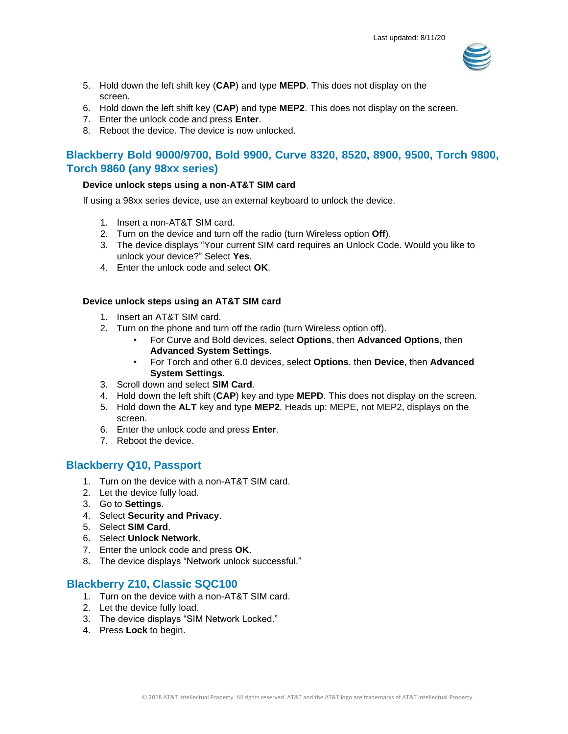

- 5. Hold down the left shift key (**CAP**) and type **MEPD**. This does not display on the screen.
- 6. Hold down the left shift key (**CAP**) and type **MEP2**. This does not display on the screen.
- 7. Enter the unlock code and press **Enter**.
- 8. Reboot the device. The device is now unlocked.

## **Blackberry Bold 9000/9700, Bold 9900, Curve 8320, 8520, 8900, 9500, Torch 9800, Torch 9860 (any 98xx series)**

#### **Device unlock steps using a non-AT&T SIM card**

If using a 98xx series device, use an external keyboard to unlock the device.

- 1. Insert a non-AT&T SIM card.
- 2. Turn on the device and turn off the radio (turn Wireless option **Off**).
- 3. The device displays "Your current SIM card requires an Unlock Code. Would you like to unlock your device?" Select **Yes**.
- 4. Enter the unlock code and select **OK**.

#### **Device unlock steps using an AT&T SIM card**

- 1. Insert an AT&T SIM card.
- 2. Turn on the phone and turn off the radio (turn Wireless option off).
	- For Curve and Bold devices, select **Options**, then **Advanced Options**, then **Advanced System Settings**.
	- For Torch and other 6.0 devices, select **Options**, then **Device**, then **Advanced System Settings**.
- 3. Scroll down and select **SIM Card**.
- 4. Hold down the left shift (**CAP**) key and type **MEPD**. This does not display on the screen.
- 5. Hold down the **ALT** key and type **MEP2**. Heads up: MEPE, not MEP2, displays on the screen.
- 6. Enter the unlock code and press **Enter**.
- 7. Reboot the device.

### **Blackberry Q10, Passport**

- 1. Turn on the device with a non-AT&T SIM card.
- 2. Let the device fully load.
- 3. Go to **Settings**.
- 4. Select **Security and Privacy**.
- 5. Select **SIM Card**.
- 6. Select **Unlock Network**.
- 7. Enter the unlock code and press **OK**.
- 8. The device displays "Network unlock successful."

### **Blackberry Z10, Classic SQC100**

- 1. Turn on the device with a non-AT&T SIM card.
- 2. Let the device fully load.
- 3. The device displays "SIM Network Locked."
- 4. Press **Lock** to begin.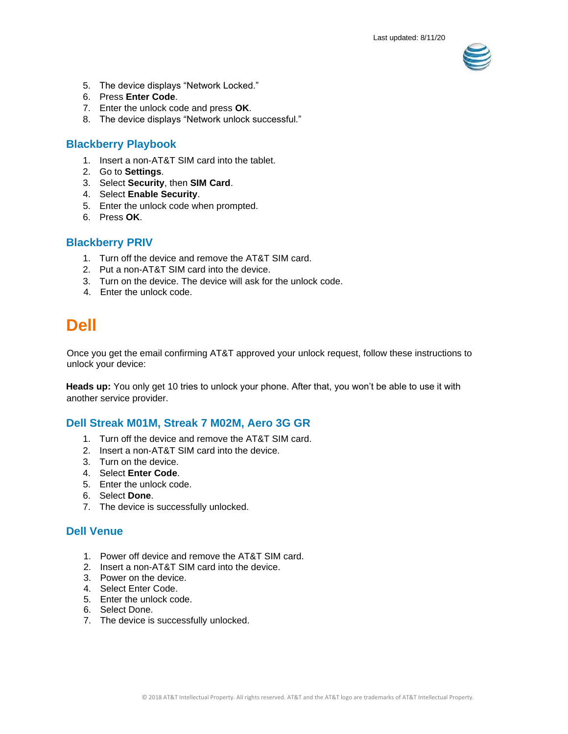

- 5. The device displays "Network Locked."
- 6. Press **Enter Code**.
- 7. Enter the unlock code and press **OK**.
- 8. The device displays "Network unlock successful."

### **Blackberry Playbook**

- 1. Insert a non-AT&T SIM card into the tablet.
- 2. Go to **Settings**.
- 3. Select **Security**, then **SIM Card**.
- 4. Select **Enable Security**.
- 5. Enter the unlock code when prompted.
- 6. Press **OK**.

#### **Blackberry PRIV**

- 1. Turn off the device and remove the AT&T SIM card.
- 2. Put a non-AT&T SIM card into the device.
- 3. Turn on the device. The device will ask for the unlock code.
- <span id="page-8-0"></span>4. Enter the unlock code.

## **Dell**

Once you get the email confirming AT&T approved your unlock request, follow these instructions to unlock your device:

**Heads up:** You only get 10 tries to unlock your phone. After that, you won't be able to use it with another service provider.

### **Dell Streak M01M, Streak 7 M02M, Aero 3G GR**

- 1. Turn off the device and remove the AT&T SIM card.
- 2. Insert a non-AT&T SIM card into the device.
- 3. Turn on the device.
- 4. Select **Enter Code**.
- 5. Enter the unlock code.
- 6. Select **Done**.
- 7. The device is successfully unlocked.

### **Dell Venue**

- 1. Power off device and remove the AT&T SIM card.
- 2. Insert a non-AT&T SIM card into the device.
- 3. Power on the device.
- 4. Select Enter Code.
- 5. Enter the unlock code.
- 6. Select Done.
- 7. The device is successfully unlocked.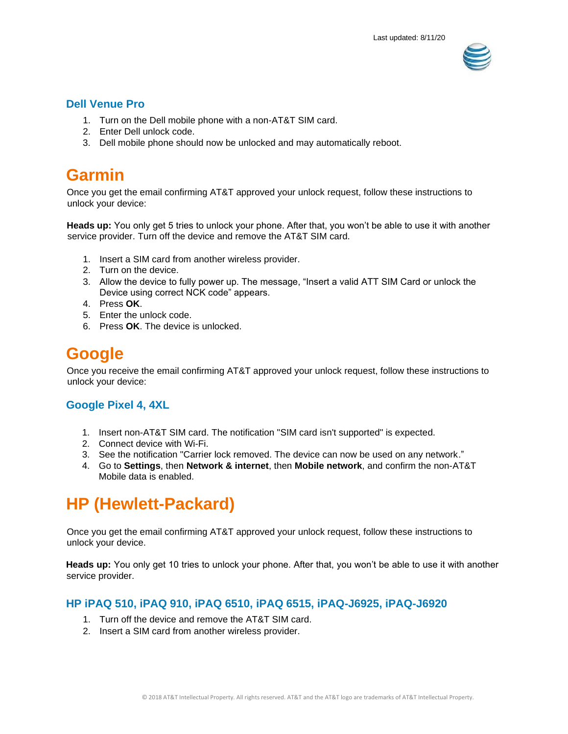

### **Dell Venue Pro**

- 1. Turn on the Dell mobile phone with a non-AT&T SIM card.
- 2. Enter Dell unlock code.
- 3. Dell mobile phone should now be unlocked and may automatically reboot.

## <span id="page-9-0"></span>**Garmin**

Once you get the email confirming AT&T approved your unlock request, follow these instructions to unlock your device:

**Heads up:** You only get 5 tries to unlock your phone. After that, you won't be able to use it with another service provider. Turn off the device and remove the AT&T SIM card.

- 1. Insert a SIM card from another wireless provider.
- 2. Turn on the device.
- 3. Allow the device to fully power up. The message, "Insert a valid ATT SIM Card or unlock the Device using correct NCK code" appears.
- 4. Press **OK**.
- 5. Enter the unlock code.
- 6. Press **OK**. The device is unlocked.

## <span id="page-9-1"></span>**Google**

Once you receive the email confirming AT&T approved your unlock request, follow these instructions to unlock your device:

## **Google Pixel 4, 4XL**

- 1. Insert non-AT&T SIM card. The notification "SIM card isn't supported" is expected.
- 2. Connect device with Wi-Fi.
- 3. See the notification "Carrier lock removed. The device can now be used on any network."
- 4. Go to **Settings**, then **Network & internet**, then **Mobile network**, and confirm the non-AT&T Mobile data is enabled.

## <span id="page-9-2"></span>**HP (Hewlett-Packard)**

Once you get the email confirming AT&T approved your unlock request, follow these instructions to unlock your device.

**Heads up:** You only get 10 tries to unlock your phone. After that, you won't be able to use it with another service provider.

### **HP iPAQ 510, iPAQ 910, iPAQ 6510, iPAQ 6515, iPAQ-J6925, iPAQ-J6920**

- 1. Turn off the device and remove the AT&T SIM card.
- 2. Insert a SIM card from another wireless provider.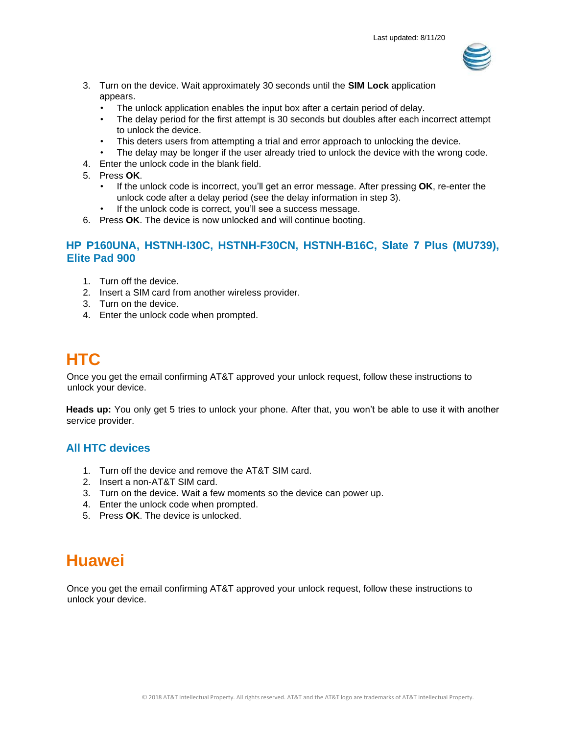

- 3. Turn on the device. Wait approximately 30 seconds until the **SIM Lock** application appears.
	- The unlock application enables the input box after a certain period of delay.
	- The delay period for the first attempt is 30 seconds but doubles after each incorrect attempt to unlock the device.
	- This deters users from attempting a trial and error approach to unlocking the device.
	- The delay may be longer if the user already tried to unlock the device with the wrong code.
- 4. Enter the unlock code in the blank field.
- 5. Press **OK**.
	- If the unlock code is incorrect, you'll get an error message. After pressing **OK**, re-enter the unlock code after a delay period (see the delay information in step 3).
	- If the unlock code is correct, you'll see a success message.
- 6. Press **OK**. The device is now unlocked and will continue booting.

### **HP P160UNA, HSTNH-I30C, HSTNH-F30CN, HSTNH-B16C, Slate 7 Plus (MU739), Elite Pad 900**

- 1. Turn off the device.
- 2. Insert a SIM card from another wireless provider.
- 3. Turn on the device.
- 4. Enter the unlock code when prompted.

## <span id="page-10-0"></span>**HTC**

Once you get the email confirming AT&T approved your unlock request, follow these instructions to unlock your device.

**Heads up:** You only get 5 tries to unlock your phone. After that, you won't be able to use it with another service provider.

### **All HTC devices**

- 1. Turn off the device and remove the AT&T SIM card.
- 2. Insert a non-AT&T SIM card.
- 3. Turn on the device. Wait a few moments so the device can power up.
- 4. Enter the unlock code when prompted.
- 5. Press **OK**. The device is unlocked.

## <span id="page-10-1"></span>**Huawei**

Once you get the email confirming AT&T approved your unlock request, follow these instructions to unlock your device.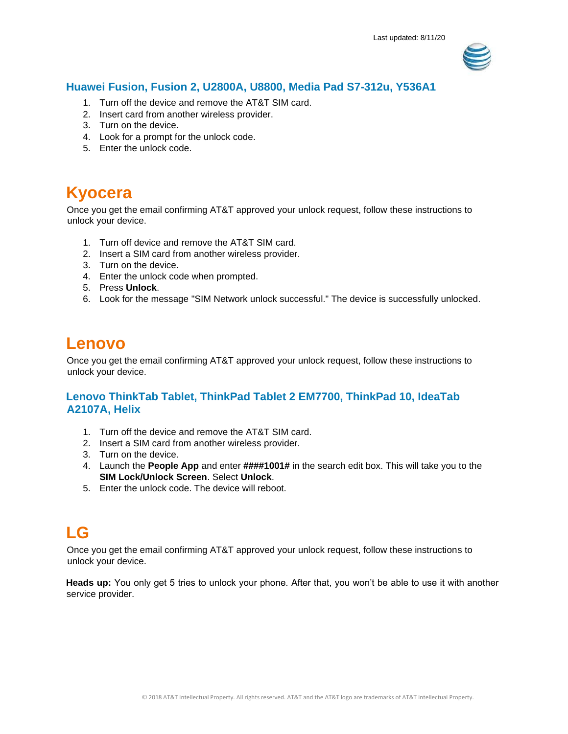

## **Huawei Fusion, Fusion 2, U2800A, U8800, Media Pad S7-312u, Y536A1**

- 1. Turn off the device and remove the AT&T SIM card.
- 2. Insert card from another wireless provider.
- 3. Turn on the device.
- 4. Look for a prompt for the unlock code.
- 5. Enter the unlock code.

## <span id="page-11-1"></span>**Kyocera**

Once you get the email confirming AT&T approved your unlock request, follow these instructions to unlock your device.

- 1. Turn off device and remove the AT&T SIM card.
- 2. Insert a SIM card from another wireless provider.
- 3. Turn on the device.
- 4. Enter the unlock code when prompted.
- 5. Press **Unlock**.
- 6. Look for the message "SIM Network unlock successful." The device is successfully unlocked.

## <span id="page-11-2"></span>**Lenovo**

Once you get the email confirming AT&T approved your unlock request, follow these instructions to unlock your device.

## **Lenovo ThinkTab Tablet, ThinkPad Tablet 2 EM7700, ThinkPad 10, IdeaTab A2107A, Helix**

- 1. Turn off the device and remove the AT&T SIM card.
- 2. Insert a SIM card from another wireless provider.
- 3. Turn on the device.
- 4. Launch the **People App** and enter **####1001#** in the search edit box. This will take you to the **SIM Lock/Unlock Screen**. Select **Unlock**.
- 5. Enter the unlock code. The device will reboot.

## <span id="page-11-0"></span>**LG**

Once you get the email confirming AT&T approved your unlock request, follow these instructions to unlock your device.

**Heads up:** You only get 5 tries to unlock your phone. After that, you won't be able to use it with another service provider.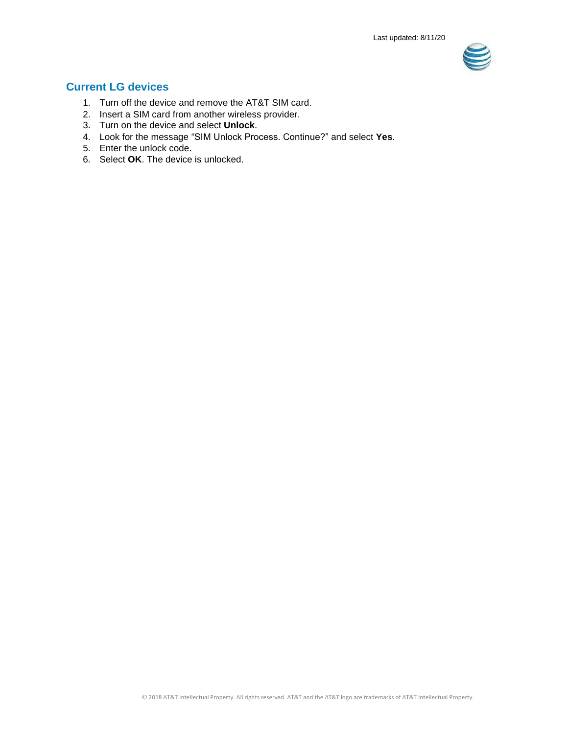

## **Current LG devices**

- 1. Turn off the device and remove the AT&T SIM card.
- 2. Insert a SIM card from another wireless provider.
- 3. Turn on the device and select **Unlock**.
- 4. Look for the message "SIM Unlock Process. Continue?" and select **Yes**.
- 5. Enter the unlock code.
- 6. Select **OK**. The device is unlocked.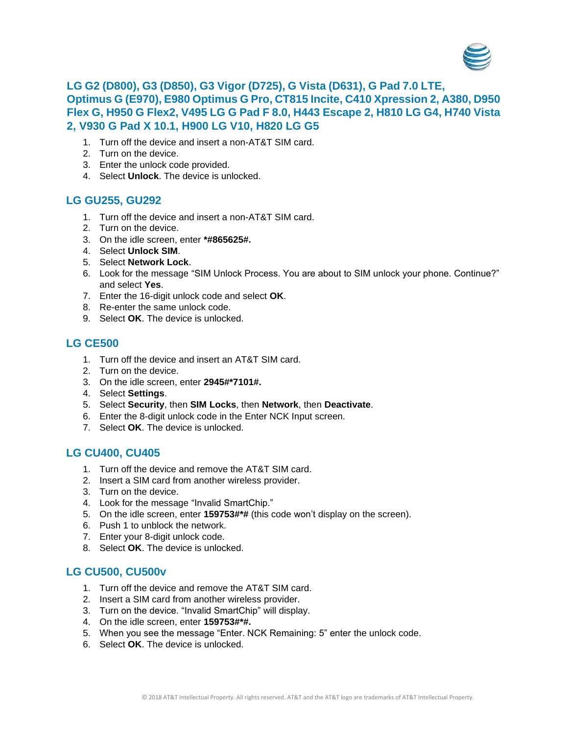

## **LG G2 (D800), G3 (D850), G3 Vigor (D725), G Vista (D631), G Pad 7.0 LTE, Optimus G (E970), E980 Optimus G Pro, CT815 Incite, C410 Xpression 2, A380, D950 Flex G, H950 G Flex2, V495 LG G Pad F 8.0, H443 Escape 2, H810 LG G4, H740 Vista 2, V930 G Pad X 10.1, H900 LG V10, H820 LG G5**

- 1. Turn off the device and insert a non-AT&T SIM card.
- 2. Turn on the device.
- 3. Enter the unlock code provided.
- 4. Select **Unlock**. The device is unlocked.

### **LG GU255, GU292**

- 1. Turn off the device and insert a non-AT&T SIM card.
- 2. Turn on the device.
- 3. On the idle screen, enter **\*#865625#.**
- 4. Select **Unlock SIM**.
- 5. Select **Network Lock**.
- 6. Look for the message "SIM Unlock Process. You are about to SIM unlock your phone. Continue?" and select **Yes**.
- 7. Enter the 16-digit unlock code and select **OK**.
- 8. Re-enter the same unlock code.
- 9. Select **OK**. The device is unlocked.

## **LG CE500**

- 1. Turn off the device and insert an AT&T SIM card.
- 2. Turn on the device.
- 3. On the idle screen, enter **2945#\*7101#.**
- 4. Select **Settings**.
- 5. Select **Security**, then **SIM Locks**, then **Network**, then **Deactivate**.
- 6. Enter the 8-digit unlock code in the Enter NCK Input screen.
- 7. Select **OK**. The device is unlocked.

## **LG CU400, CU405**

- 1. Turn off the device and remove the AT&T SIM card.
- 2. Insert a SIM card from another wireless provider.
- 3. Turn on the device.
- 4. Look for the message "Invalid SmartChip."
- 5. On the idle screen, enter **159753#\*#** (this code won't display on the screen).
- 6. Push 1 to unblock the network.
- 7. Enter your 8-digit unlock code.
- 8. Select **OK**. The device is unlocked.

## **LG CU500, CU500v**

- 1. Turn off the device and remove the AT&T SIM card.
- 2. Insert a SIM card from another wireless provider.
- 3. Turn on the device. "Invalid SmartChip" will display.
- 4. On the idle screen, enter **159753#\*#.**
- 5. When you see the message "Enter. NCK Remaining: 5" enter the unlock code.
- 6. Select **OK**. The device is unlocked.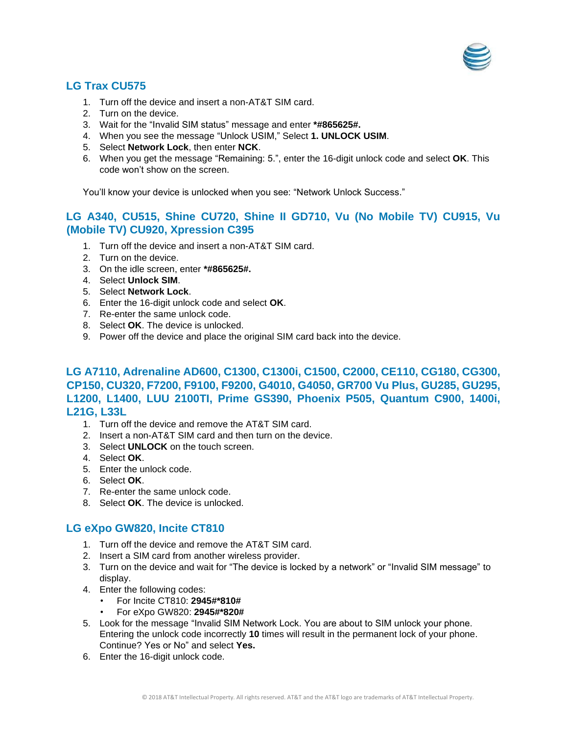

## **LG Trax CU575**

- 1. Turn off the device and insert a non-AT&T SIM card.
- 2. Turn on the device.
- 3. Wait for the "Invalid SIM status" message and enter **\*#865625#.**
- 4. When you see the message "Unlock USIM," Select **1. UNLOCK USIM**.
- 5. Select **Network Lock**, then enter **NCK**.
- 6. When you get the message "Remaining: 5.", enter the 16-digit unlock code and select **OK**. This code won't show on the screen.

You'll know your device is unlocked when you see: "Network Unlock Success."

## **LG A340, CU515, Shine CU720, Shine II GD710, Vu (No Mobile TV) CU915, Vu (Mobile TV) CU920, Xpression C395**

- 1. Turn off the device and insert a non-AT&T SIM card.
- 2. Turn on the device.
- 3. On the idle screen, enter **\*#865625#.**
- 4. Select **Unlock SIM**.
- 5. Select **Network Lock**.
- 6. Enter the 16-digit unlock code and select **OK**.
- 7. Re-enter the same unlock code.
- 8. Select **OK**. The device is unlocked.
- 9. Power off the device and place the original SIM card back into the device.

## **LG A7110, Adrenaline AD600, C1300, C1300i, C1500, C2000, CE110, CG180, CG300, CP150, CU320, F7200, F9100, F9200, G4010, G4050, GR700 Vu Plus, GU285, GU295, L1200, L1400, LUU 2100TI, Prime GS390, Phoenix P505, Quantum C900, 1400i, L21G, L33L**

- 1. Turn off the device and remove the AT&T SIM card.
- 2. Insert a non-AT&T SIM card and then turn on the device.
- 3. Select **UNLOCK** on the touch screen.
- 4. Select **OK**.
- 5. Enter the unlock code.
- 6. Select **OK**.
- 7. Re-enter the same unlock code.
- 8. Select **OK**. The device is unlocked.

### **LG eXpo GW820, Incite CT810**

- 1. Turn off the device and remove the AT&T SIM card.
- 2. Insert a SIM card from another wireless provider.
- 3. Turn on the device and wait for "The device is locked by a network" or "Invalid SIM message" to display.
- 4. Enter the following codes:
	- For Incite CT810: **2945#\*810#**
	- For eXpo GW820: **2945#\*820#**
- 5. Look for the message "Invalid SIM Network Lock. You are about to SIM unlock your phone. Entering the unlock code incorrectly **10** times will result in the permanent lock of your phone. Continue? Yes or No" and select **Yes.**
- 6. Enter the 16-digit unlock code.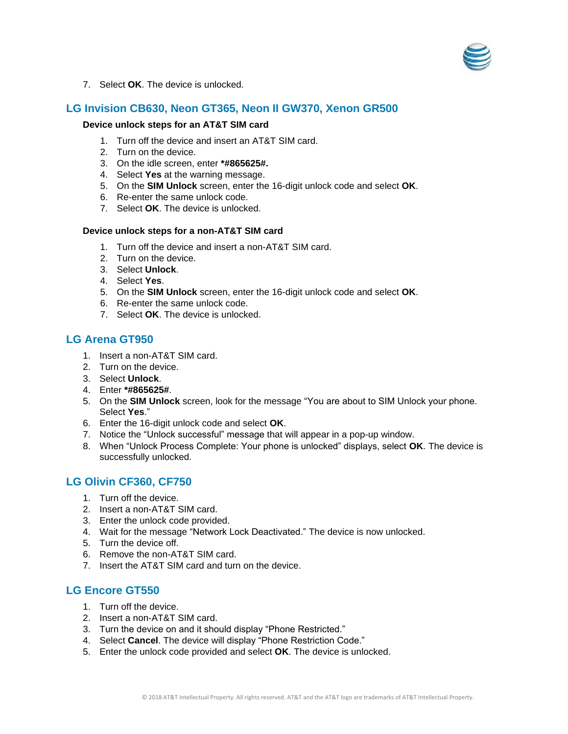

7. Select **OK**. The device is unlocked.

## **LG Invision CB630, Neon GT365, Neon II GW370, Xenon GR500**

#### **Device unlock steps for an AT&T SIM card**

- 1. Turn off the device and insert an AT&T SIM card.
- 2. Turn on the device.
- 3. On the idle screen, enter **\*#865625#.**
- 4. Select **Yes** at the warning message.
- 5. On the **SIM Unlock** screen, enter the 16-digit unlock code and select **OK**.
- 6. Re-enter the same unlock code.
- 7. Select **OK**. The device is unlocked.

### **Device unlock steps for a non-AT&T SIM card**

- 1. Turn off the device and insert a non-AT&T SIM card.
- 2. Turn on the device.
- 3. Select **Unlock**.
- 4. Select **Yes**.
- 5. On the **SIM Unlock** screen, enter the 16-digit unlock code and select **OK**.
- 6. Re-enter the same unlock code.
- 7. Select **OK**. The device is unlocked.

### **LG Arena GT950**

- 1. Insert a non-AT&T SIM card.
- 2. Turn on the device.
- 3. Select **Unlock**.
- 4. Enter **\*#865625#**.
- 5. On the **SIM Unlock** screen, look for the message "You are about to SIM Unlock your phone. Select **Yes**."
- 6. Enter the 16-digit unlock code and select **OK**.
- 7. Notice the "Unlock successful" message that will appear in a pop-up window.
- 8. When "Unlock Process Complete: Your phone is unlocked" displays, select **OK**. The device is successfully unlocked.

## **LG Olivin CF360, CF750**

- 1. Turn off the device.
- 2. Insert a non-AT&T SIM card.
- 3. Enter the unlock code provided.
- 4. Wait for the message "Network Lock Deactivated." The device is now unlocked.
- 5. Turn the device off.
- 6. Remove the non-AT&T SIM card.
- 7. Insert the AT&T SIM card and turn on the device.

## **LG Encore GT550**

- 1. Turn off the device.
- 2. Insert a non-AT&T SIM card.
- 3. Turn the device on and it should display "Phone Restricted."
- 4. Select **Cancel**. The device will display "Phone Restriction Code."
- 5. Enter the unlock code provided and select **OK**. The device is unlocked.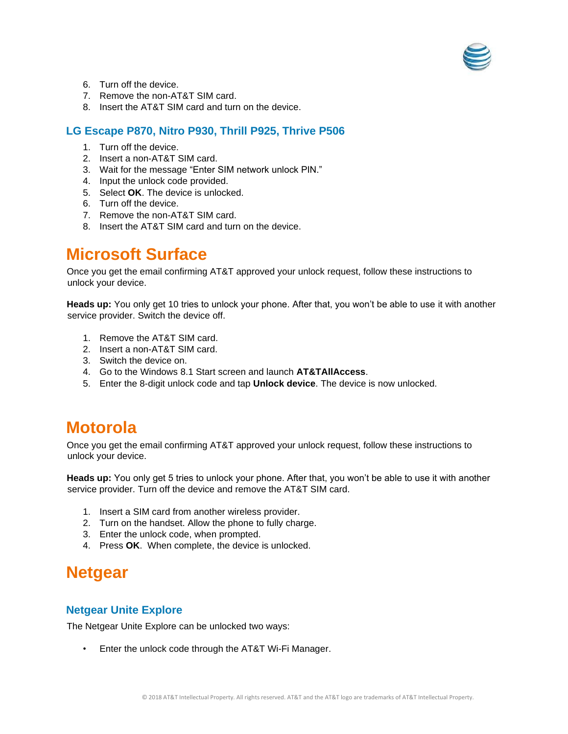

- 6. Turn off the device.
- 7. Remove the non-AT&T SIM card.
- 8. Insert the AT&T SIM card and turn on the device.

## **LG Escape P870, Nitro P930, Thrill P925, Thrive P506**

- 1. Turn off the device.
- 2. Insert a non-AT&T SIM card.
- 3. Wait for the message "Enter SIM network unlock PIN."
- 4. Input the unlock code provided.
- 5. Select **OK**. The device is unlocked.
- 6. Turn off the device.
- 7. Remove the non-AT&T SIM card.
- 8. Insert the AT&T SIM card and turn on the device.

## <span id="page-16-0"></span>**Microsoft Surface**

Once you get the email confirming AT&T approved your unlock request, follow these instructions to unlock your device.

**Heads up:** You only get 10 tries to unlock your phone. After that, you won't be able to use it with another service provider. Switch the device off.

- 1. Remove the AT&T SIM card.
- 2. Insert a non-AT&T SIM card.
- 3. Switch the device on.
- 4. Go to the Windows 8.1 Start screen and launch **AT&TAllAccess**.
- 5. Enter the 8-digit unlock code and tap **Unlock device**. The device is now unlocked.

## **Motorola**

Once you get the email confirming AT&T approved your unlock request, follow these instructions to unlock your device.

**Heads up:** You only get 5 tries to unlock your phone. After that, you won't be able to use it with another service provider. Turn off the device and remove the AT&T SIM card.

- 1. Insert a SIM card from another wireless provider.
- 2. Turn on the handset. Allow the phone to fully charge.
- 3. Enter the unlock code, when prompted.
- 4. Press **OK**. When complete, the device is unlocked.

## <span id="page-16-1"></span>**Netgear**

### **Netgear Unite Explore**

The Netgear Unite Explore can be unlocked two ways:

• Enter the unlock code through the AT&T Wi-Fi Manager.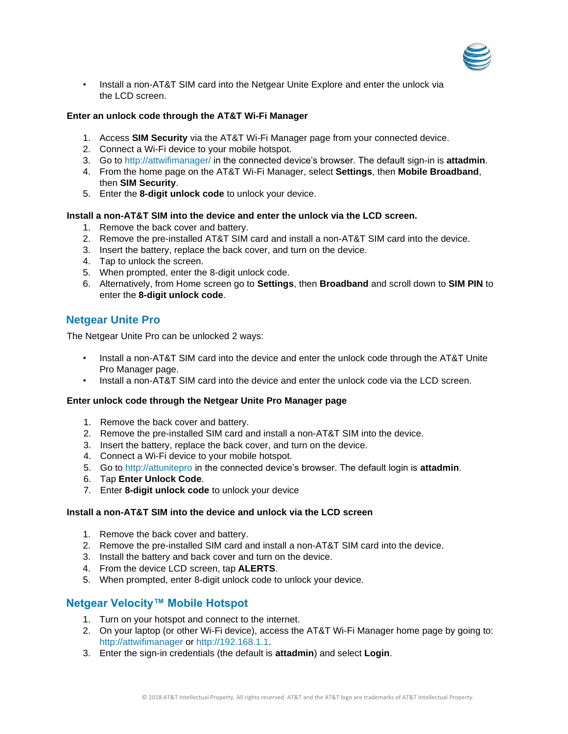

• Install a non-AT&T SIM card into the Netgear Unite Explore and enter the unlock via the LCD screen.

#### **Enter an unlock code through the AT&T Wi-Fi Manager**

- 1. Access **SIM Security** via the AT&T Wi-Fi Manager page from your connected device.
- 2. Connect a Wi-Fi device to your mobile hotspot.
- 3. Go to<http://attwifimanager/> in the connected device's browser. The default sign-in is **attadmin**.
- 4. From the home page on the AT&T Wi-Fi Manager, select **Settings**, then **Mobile Broadband**, then **SIM Security**.
- 5. Enter the **8-digit unlock code** to unlock your device.

#### **Install a non-AT&T SIM into the device and enter the unlock via the LCD screen.**

- 1. Remove the back cover and battery.
- 2. Remove the pre-installed AT&T SIM card and install a non-AT&T SIM card into the device.
- 3. Insert the battery, replace the back cover, and turn on the device.
- 4. Tap to unlock the screen.
- 5. When prompted, enter the 8-digit unlock code.
- 6. Alternatively, from Home screen go to **Settings**, then **Broadband** and scroll down to **SIM PIN** to enter the **8-digit unlock code**.

## **Netgear Unite Pro**

The Netgear Unite Pro can be unlocked 2 ways:

- Install a non-AT&T SIM card into the device and enter the unlock code through the AT&T Unite Pro Manager page.
- Install a non-AT&T SIM card into the device and enter the unlock code via the LCD screen.

#### **Enter unlock code through the Netgear Unite Pro Manager page**

- 1. Remove the back cover and battery.
- 2. Remove the pre-installed SIM card and install a non-AT&T SIM into the device.
- 3. Insert the battery, replace the back cover, and turn on the device.
- 4. Connect a Wi-Fi device to your mobile hotspot.
- 5. Go to [http://attunitepro](http://attunitepro/) in the connected device's browser. The default login is **attadmin**.
- 6. Tap **Enter Unlock Code**.
- 7. Enter **8-digit unlock code** to unlock your device

#### **Install a non-AT&T SIM into the device and unlock via the LCD screen**

- 1. Remove the back cover and battery.
- 2. Remove the pre-installed SIM card and install a non-AT&T SIM card into the device.
- 3. Install the battery and back cover and turn on the device.
- 4. From the device LCD screen, tap **ALERTS**.
- 5. When prompted, enter 8-digit unlock code to unlock your device.

### **Netgear Velocity™ Mobile Hotspot**

- 1. Turn on your hotspot and connect to the internet.
- 2. On your laptop (or other Wi-Fi device), access the AT&T Wi-Fi Manager home page by going to: [http://attwifimanager](http://attwifimanager/) or [http://192.168.1.1.](http://192.168.1.1/)
- 3. Enter the sign-in credentials (the default is **attadmin**) and select **Login**.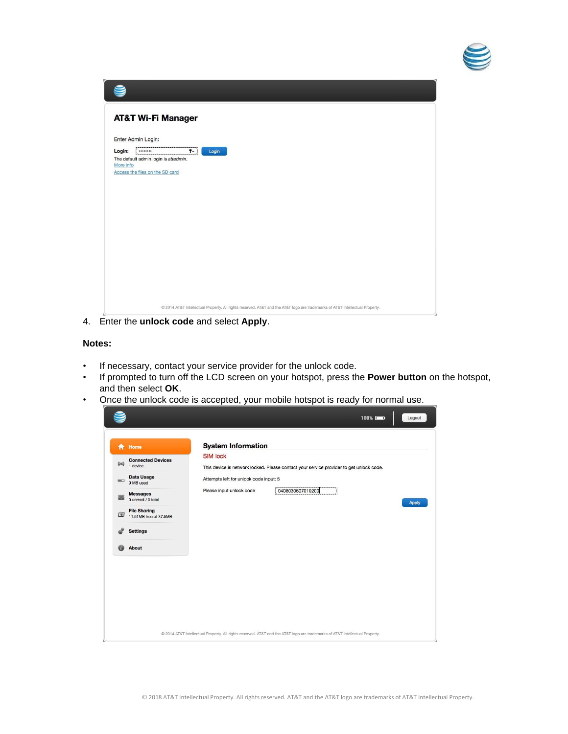

|           | <b>AT&amp;T Wi-Fi Manager</b>                                                                                                |  |
|-----------|------------------------------------------------------------------------------------------------------------------------------|--|
|           | Enter Admin Login:                                                                                                           |  |
|           |                                                                                                                              |  |
| Login:    | $\bullet$<br>Login<br><br>The default admin login is attadmin.                                                               |  |
| More info |                                                                                                                              |  |
|           | Access the files on the SD card                                                                                              |  |
|           |                                                                                                                              |  |
|           |                                                                                                                              |  |
|           |                                                                                                                              |  |
|           |                                                                                                                              |  |
|           |                                                                                                                              |  |
|           |                                                                                                                              |  |
|           |                                                                                                                              |  |
|           |                                                                                                                              |  |
|           |                                                                                                                              |  |
|           |                                                                                                                              |  |
|           |                                                                                                                              |  |
|           |                                                                                                                              |  |
|           |                                                                                                                              |  |
|           |                                                                                                                              |  |
|           |                                                                                                                              |  |
|           | @ 2014 AT&T Intellectual Property. All rights reserved. AT&T and the AT&T logo are trademarks of AT&T Intellectual Property. |  |

4. Enter the **unlock code** and select **Apply**.

#### **Notes:**

- If necessary, contact your service provider for the unlock code.
- If prompted to turn off the LCD screen on your hotspot, press the **Power button** on the hotspot, and then select **OK**.
- Once the unlock code is accepted, your mobile hotspot is ready for normal use.

| 合          | Home                                          | <b>System Information</b><br><b>SIM lock</b> |                                                                                         |       |
|------------|-----------------------------------------------|----------------------------------------------|-----------------------------------------------------------------------------------------|-------|
| $(\omega)$ | <b>Connected Devices</b><br>1 device          |                                              | This device is network locked. Please contact your service provider to get unlock code. |       |
| $=$        | Data Usage<br>0 MB used                       | Attempts left for unlock code input: 5       |                                                                                         |       |
|            | <b>Messages</b><br>0 unread / 0 total         | Please input unlock code                     | 0408030607010200                                                                        | Apply |
| 団          | <b>File Sharing</b><br>11,51MB free of 37,5MB |                                              |                                                                                         |       |
|            | <b>Settings</b>                               |                                              |                                                                                         |       |
|            | About                                         |                                              |                                                                                         |       |
|            |                                               |                                              |                                                                                         |       |
|            |                                               |                                              |                                                                                         |       |
|            |                                               |                                              |                                                                                         |       |
|            |                                               |                                              |                                                                                         |       |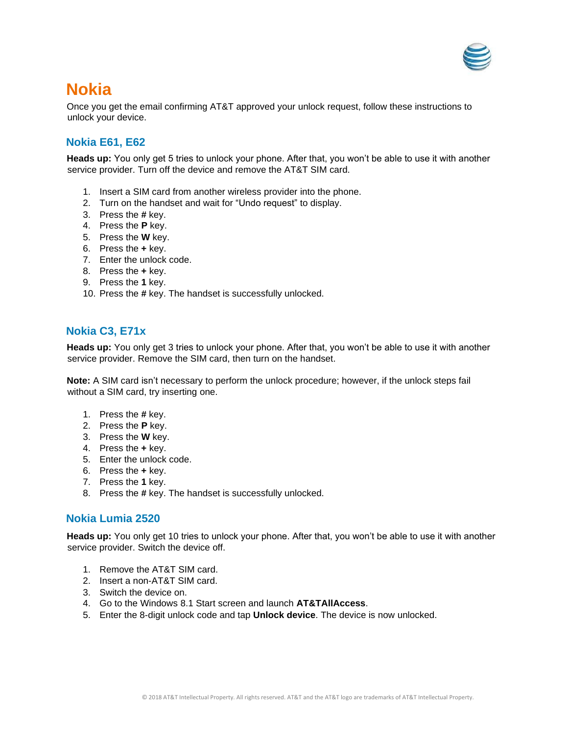

## <span id="page-19-0"></span>**Nokia**

Once you get the email confirming AT&T approved your unlock request, follow these instructions to unlock your device.

## **Nokia E61, E62**

**Heads up:** You only get 5 tries to unlock your phone. After that, you won't be able to use it with another service provider. Turn off the device and remove the AT&T SIM card.

- 1. Insert a SIM card from another wireless provider into the phone.
- 2. Turn on the handset and wait for "Undo request" to display.
- 3. Press the **#** key.
- 4. Press the **P** key.
- 5. Press the **W** key.
- 6. Press the **+** key.
- 7. Enter the unlock code.
- 8. Press the **+** key.
- 9. Press the **1** key.
- 10. Press the **#** key. The handset is successfully unlocked.

## **Nokia C3, E71x**

**Heads up:** You only get 3 tries to unlock your phone. After that, you won't be able to use it with another service provider. Remove the SIM card, then turn on the handset.

**Note:** A SIM card isn't necessary to perform the unlock procedure; however, if the unlock steps fail without a SIM card, try inserting one.

- 1. Press the **#** key.
- 2. Press the **P** key.
- 3. Press the **W** key.
- 4. Press the **+** key.
- 5. Enter the unlock code.
- 6. Press the **+** key.
- 7. Press the **1** key.
- 8. Press the **#** key. The handset is successfully unlocked.

## **Nokia Lumia 2520**

**Heads up:** You only get 10 tries to unlock your phone. After that, you won't be able to use it with another service provider. Switch the device off.

- 1. Remove the AT&T SIM card.
- 2. Insert a non-AT&T SIM card.
- 3. Switch the device on.
- 4. Go to the Windows 8.1 Start screen and launch **AT&TAllAccess**.
- 5. Enter the 8-digit unlock code and tap **Unlock device**. The device is now unlocked.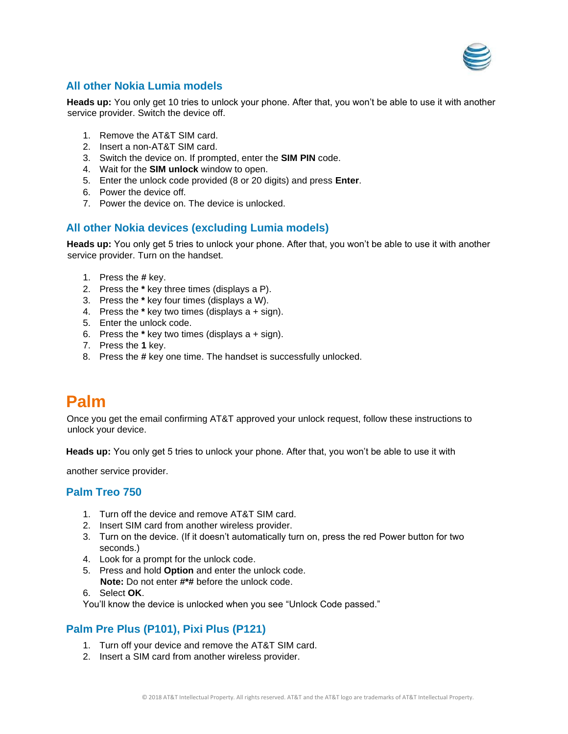

## **All other Nokia Lumia models**

**Heads up:** You only get 10 tries to unlock your phone. After that, you won't be able to use it with another service provider. Switch the device off.

- 1. Remove the AT&T SIM card.
- 2. Insert a non-AT&T SIM card.
- 3. Switch the device on. If prompted, enter the **SIM PIN** code.
- 4. Wait for the **SIM unlock** window to open.
- 5. Enter the unlock code provided (8 or 20 digits) and press **Enter**.
- 6. Power the device off.
- 7. Power the device on. The device is unlocked.

## **All other Nokia devices (excluding Lumia models)**

**Heads up:** You only get 5 tries to unlock your phone. After that, you won't be able to use it with another service provider. Turn on the handset.

- 1. Press the **#** key.
- 2. Press the **\*** key three times (displays a P).
- 3. Press the **\*** key four times (displays a W).
- 4. Press the **\*** key two times (displays a + sign).
- 5. Enter the unlock code.
- 6. Press the **\*** key two times (displays a + sign).
- 7. Press the **1** key.
- 8. Press the **#** key one time. The handset is successfully unlocked.

## <span id="page-20-0"></span>**Palm**

Once you get the email confirming AT&T approved your unlock request, follow these instructions to unlock your device.

**Heads up:** You only get 5 tries to unlock your phone. After that, you won't be able to use it with

another service provider.

## **Palm Treo 750**

- 1. Turn off the device and remove AT&T SIM card.
- 2. Insert SIM card from another wireless provider.
- 3. Turn on the device. (If it doesn't automatically turn on, press the red Power button for two seconds.)
- 4. Look for a prompt for the unlock code.
- 5. Press and hold **Option** and enter the unlock code.
- **Note:** Do not enter **#\*#** before the unlock code.
- 6. Select **OK**.

You'll know the device is unlocked when you see "Unlock Code passed."

## **Palm Pre Plus (P101), Pixi Plus (P121)**

- 1. Turn off your device and remove the AT&T SIM card.
- 2. Insert a SIM card from another wireless provider.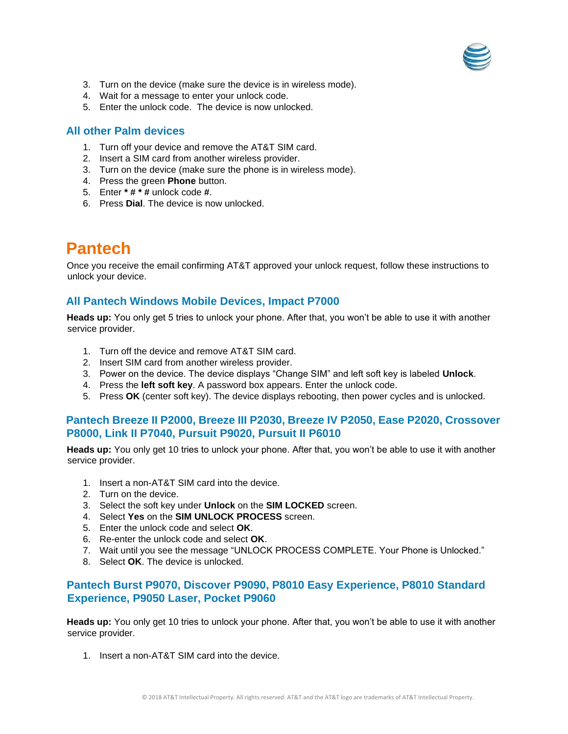

- 3. Turn on the device (make sure the device is in wireless mode).
- 4. Wait for a message to enter your unlock code.
- 5. Enter the unlock code. The device is now unlocked.

### **All other Palm devices**

- 1. Turn off your device and remove the AT&T SIM card.
- 2. Insert a SIM card from another wireless provider.
- 3. Turn on the device (make sure the phone is in wireless mode).
- 4. Press the green **Phone** button.
- 5. Enter **\* # \* #** unlock code **#**.
- 6. Press **Dial**. The device is now unlocked.

## <span id="page-21-0"></span>**Pantech**

Once you receive the email confirming AT&T approved your unlock request, follow these instructions to unlock your device.

## **All Pantech Windows Mobile Devices, Impact P7000**

**Heads up:** You only get 5 tries to unlock your phone. After that, you won't be able to use it with another service provider.

- 1. Turn off the device and remove AT&T SIM card.
- 2. Insert SIM card from another wireless provider.
- 3. Power on the device. The device displays "Change SIM" and left soft key is labeled **Unlock**.
- 4. Press the **left soft key**. A password box appears. Enter the unlock code.
- 5. Press **OK** (center soft key). The device displays rebooting, then power cycles and is unlocked.

### **Pantech Breeze II P2000, Breeze III P2030, Breeze IV P2050, Ease P2020, Crossover P8000, Link II P7040, Pursuit P9020, Pursuit II P6010**

**Heads up:** You only get 10 tries to unlock your phone. After that, you won't be able to use it with another service provider.

- 1. Insert a non-AT&T SIM card into the device.
- 2. Turn on the device.
- 3. Select the soft key under **Unlock** on the **SIM LOCKED** screen.
- 4. Select **Yes** on the **SIM UNLOCK PROCESS** screen.
- 5. Enter the unlock code and select **OK**.
- 6. Re-enter the unlock code and select **OK**.
- 7. Wait until you see the message "UNLOCK PROCESS COMPLETE. Your Phone is Unlocked."
- 8. Select **OK**. The device is unlocked.

## **Pantech Burst P9070, Discover P9090, P8010 Easy Experience, P8010 Standard Experience, P9050 Laser, Pocket P9060**

**Heads up:** You only get 10 tries to unlock your phone. After that, you won't be able to use it with another service provider.

1. Insert a non-AT&T SIM card into the device.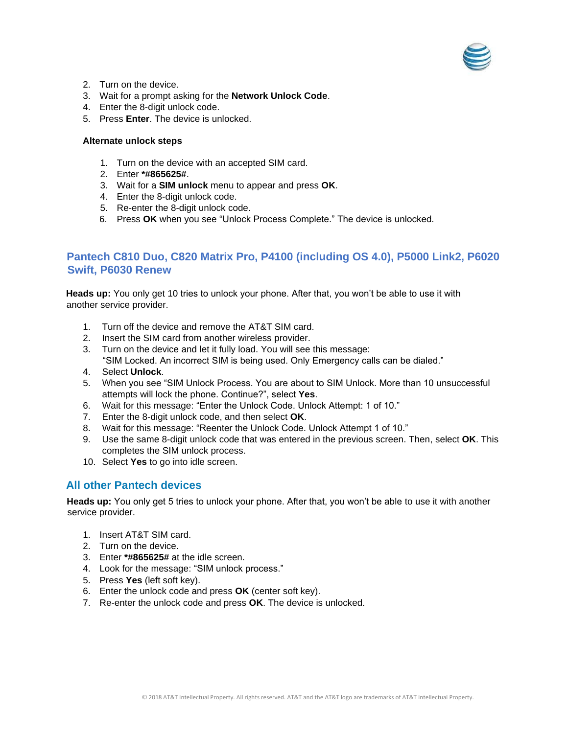

- 2. Turn on the device.
- 3. Wait for a prompt asking for the **Network Unlock Code**.
- 4. Enter the 8-digit unlock code.
- 5. Press **Enter**. The device is unlocked.

#### **Alternate unlock steps**

- 1. Turn on the device with an accepted SIM card.
- 2. Enter **\*#865625#**.
- 3. Wait for a **SIM unlock** menu to appear and press **OK**.
- 4. Enter the 8-digit unlock code.
- 5. Re-enter the 8-digit unlock code.
- 6. Press **OK** when you see "Unlock Process Complete." The device is unlocked.

## **Pantech C810 Duo, C820 Matrix Pro, P4100 (including OS 4.0), P5000 Link2, P6020 Swift, P6030 Renew**

**Heads up:** You only get 10 tries to unlock your phone. After that, you won't be able to use it with another service provider.

- 1. Turn off the device and remove the AT&T SIM card.
- 2. Insert the SIM card from another wireless provider.
- 3. Turn on the device and let it fully load. You will see this message: "SIM Locked. An incorrect SIM is being used. Only Emergency calls can be dialed."
- 4. Select **Unlock**.
- 5. When you see "SIM Unlock Process. You are about to SIM Unlock. More than 10 unsuccessful attempts will lock the phone. Continue?", select **Yes**.
- 6. Wait for this message: "Enter the Unlock Code. Unlock Attempt: 1 of 10."
- 7. Enter the 8-digit unlock code, and then select **OK**.
- 8. Wait for this message: "Reenter the Unlock Code. Unlock Attempt 1 of 10."
- 9. Use the same 8-digit unlock code that was entered in the previous screen. Then, select **OK**. This completes the SIM unlock process.
- 10. Select **Yes** to go into idle screen.

## **All other Pantech devices**

**Heads up:** You only get 5 tries to unlock your phone. After that, you won't be able to use it with another service provider.

- 1. Insert AT&T SIM card.
- 2. Turn on the device.
- 3. Enter **\*#865625#** at the idle screen.
- 4. Look for the message: "SIM unlock process."
- 5. Press **Yes** (left soft key).
- 6. Enter the unlock code and press **OK** (center soft key).
- 7. Re-enter the unlock code and press **OK**. The device is unlocked.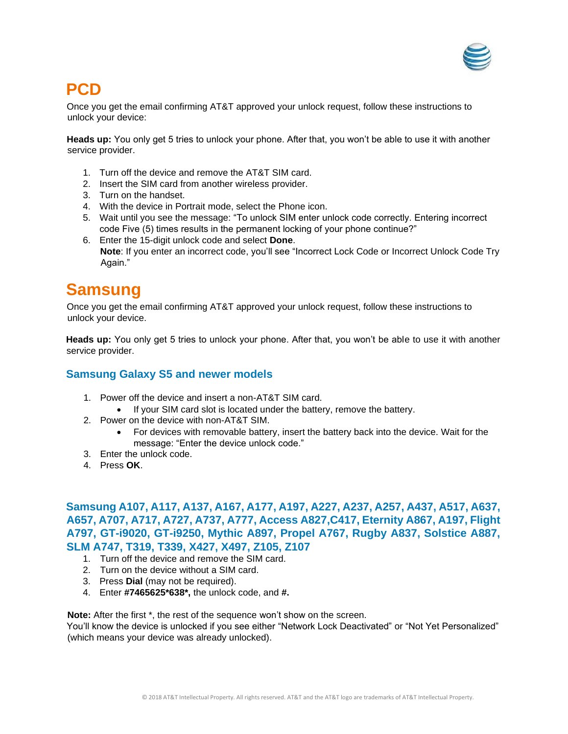

## <span id="page-23-0"></span>**PCD**

Once you get the email confirming AT&T approved your unlock request, follow these instructions to unlock your device:

**Heads up:** You only get 5 tries to unlock your phone. After that, you won't be able to use it with another service provider.

- 1. Turn off the device and remove the AT&T SIM card.
- 2. Insert the SIM card from another wireless provider.
- 3. Turn on the handset.
- 4. With the device in Portrait mode, select the Phone icon.
- 5. Wait until you see the message: "To unlock SIM enter unlock code correctly. Entering incorrect code Five (5) times results in the permanent locking of your phone continue?"
- 6. Enter the 15-digit unlock code and select **Done**. **Note**: If you enter an incorrect code, you'll see "Incorrect Lock Code or Incorrect Unlock Code Try Again."

## <span id="page-23-1"></span>**Samsung**

Once you get the email confirming AT&T approved your unlock request, follow these instructions to unlock your device.

**Heads up:** You only get 5 tries to unlock your phone. After that, you won't be able to use it with another service provider.

## **Samsung Galaxy S5 and newer models**

- 1. Power off the device and insert a non-AT&T SIM card.
	- If your SIM card slot is located under the battery, remove the battery.
- 2. Power on the device with non-AT&T SIM.
	- For devices with removable battery, insert the battery back into the device. Wait for the message: "Enter the device unlock code."
- 3. Enter the unlock code.
- 4. Press **OK**.

## **Samsung A107, A117, A137, A167, A177, A197, A227, A237, A257, A437, A517, A637, A657, A707, A717, A727, A737, A777, Access A827,C417, Eternity A867, A197, Flight A797, GT-i9020, GT-i9250, Mythic A897, Propel A767, Rugby A837, Solstice A887, SLM A747, T319, T339, X427, X497, Z105, Z107**

- 1. Turn off the device and remove the SIM card.
- 2. Turn on the device without a SIM card.
- 3. Press **Dial** (may not be required).
- 4. Enter **#7465625\*638\*,** the unlock code, and **#.**

**Note:** After the first \*, the rest of the sequence won't show on the screen.

You'll know the device is unlocked if you see either "Network Lock Deactivated" or "Not Yet Personalized" (which means your device was already unlocked).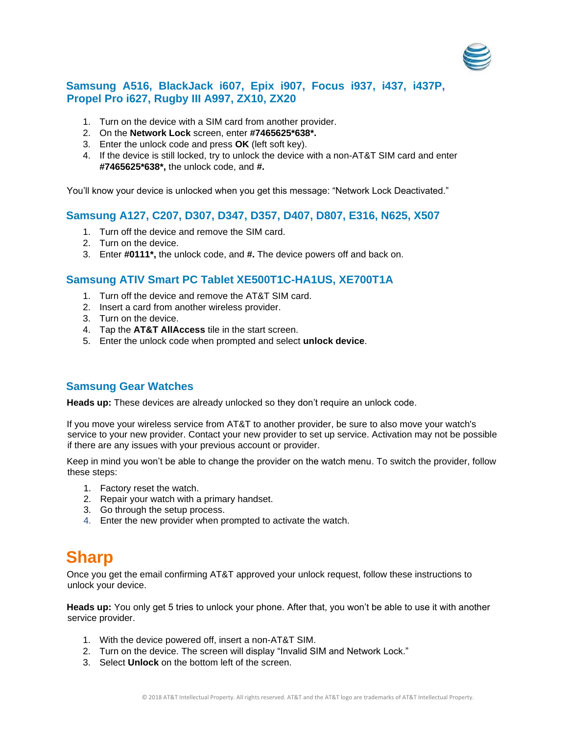

## **Samsung A516, BlackJack i607, Epix i907, Focus i937, i437, i437P, Propel Pro i627, Rugby III A997, ZX10, ZX20**

- 1. Turn on the device with a SIM card from another provider.
- 2. On the **Network Lock** screen, enter **#7465625\*638\*.**
- 3. Enter the unlock code and press **OK** (left soft key).
- 4. If the device is still locked, try to unlock the device with a non-AT&T SIM card and enter **#7465625\*638\*,** the unlock code, and **#.**

You'll know your device is unlocked when you get this message: "Network Lock Deactivated."

## **Samsung A127, C207, D307, D347, D357, D407, D807, E316, N625, X507**

- 1. Turn off the device and remove the SIM card.
- 2. Turn on the device.
- 3. Enter **#0111\*,** the unlock code, and **#.** The device powers off and back on.

## **Samsung ATIV Smart PC Tablet XE500T1C-HA1US, XE700T1A**

- 1. Turn off the device and remove the AT&T SIM card.
- 2. Insert a card from another wireless provider.
- 3. Turn on the device.
- 4. Tap the **AT&T AllAccess** tile in the start screen.
- 5. Enter the unlock code when prompted and select **unlock device**.

## **Samsung Gear Watches**

**Heads up:** These devices are already unlocked so they don't require an unlock code.

If you move your wireless service from AT&T to another provider, be sure to also move your watch's service to your new provider. Contact your new provider to set up service. Activation may not be possible if there are any issues with your previous account or provider.

Keep in mind you won't be able to change the provider on the watch menu. To switch the provider, follow these steps:

- 1. Factory reset the watch.
- 2. Repair your watch with a primary handset.
- 3. Go through the setup process.
- 4. Enter the new provider when prompted to activate the watch.

## <span id="page-24-0"></span>**Sharp**

Once you get the email confirming AT&T approved your unlock request, follow these instructions to unlock your device.

**Heads up:** You only get 5 tries to unlock your phone. After that, you won't be able to use it with another service provider.

- 1. With the device powered off, insert a non-AT&T SIM.
- 2. Turn on the device. The screen will display "Invalid SIM and Network Lock."
- 3. Select **Unlock** on the bottom left of the screen.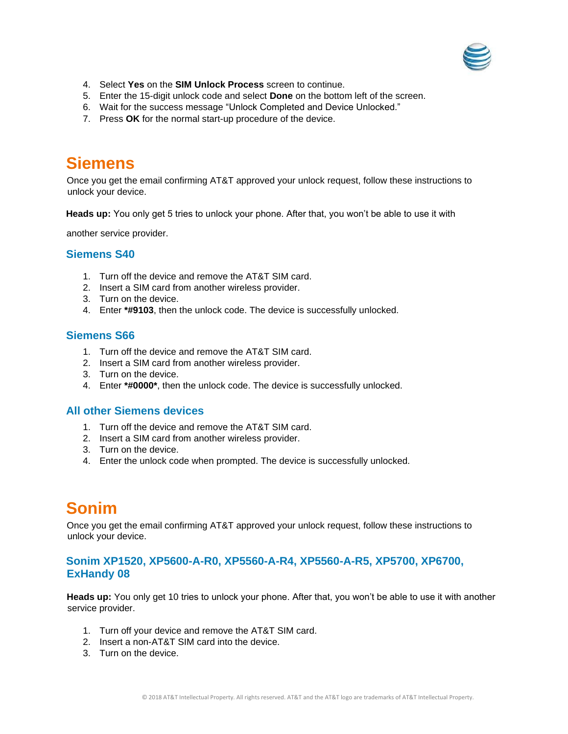

- 4. Select **Yes** on the **SIM Unlock Process** screen to continue.
- 5. Enter the 15-digit unlock code and select **Done** on the bottom left of the screen.
- 6. Wait for the success message "Unlock Completed and Device Unlocked."
- 7. Press **OK** for the normal start-up procedure of the device.

## <span id="page-25-0"></span>**Siemens**

Once you get the email confirming AT&T approved your unlock request, follow these instructions to unlock your device.

**Heads up:** You only get 5 tries to unlock your phone. After that, you won't be able to use it with

another service provider.

#### **Siemens S40**

- 1. Turn off the device and remove the AT&T SIM card.
- 2. Insert a SIM card from another wireless provider.
- 3. Turn on the device.
- 4. Enter **\*#9103**, then the unlock code. The device is successfully unlocked.

#### **Siemens S66**

- 1. Turn off the device and remove the AT&T SIM card.
- 2. Insert a SIM card from another wireless provider.
- 3. Turn on the device.
- 4. Enter **\*#0000\***, then the unlock code. The device is successfully unlocked.

#### **All other Siemens devices**

- 1. Turn off the device and remove the AT&T SIM card.
- 2. Insert a SIM card from another wireless provider.
- 3. Turn on the device.
- 4. Enter the unlock code when prompted. The device is successfully unlocked.

## <span id="page-25-1"></span>**Sonim**

Once you get the email confirming AT&T approved your unlock request, follow these instructions to unlock your device.

### **Sonim XP1520, XP5600-A-R0, XP5560-A-R4, XP5560-A-R5, XP5700, XP6700, ExHandy 08**

**Heads up:** You only get 10 tries to unlock your phone. After that, you won't be able to use it with another service provider.

- 1. Turn off your device and remove the AT&T SIM card.
- 2. Insert a non-AT&T SIM card into the device.
- 3. Turn on the device.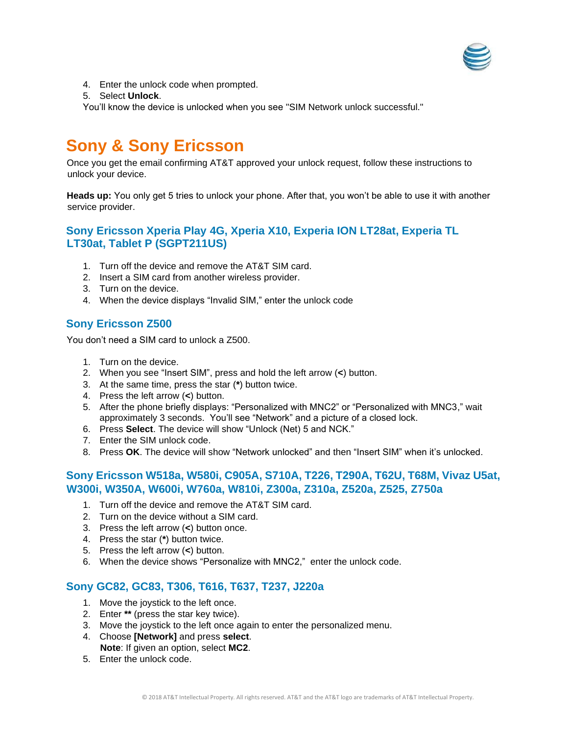

- 4. Enter the unlock code when prompted.
- 5. Select **Unlock**.

You'll know the device is unlocked when you see "SIM Network unlock successful."

## <span id="page-26-0"></span>**Sony & Sony Ericsson**

Once you get the email confirming AT&T approved your unlock request, follow these instructions to unlock your device.

**Heads up:** You only get 5 tries to unlock your phone. After that, you won't be able to use it with another service provider.

## **Sony Ericsson Xperia Play 4G, Xperia X10, Experia ION LT28at, Experia TL LT30at, Tablet P (SGPT211US)**

- 1. Turn off the device and remove the AT&T SIM card.
- 2. Insert a SIM card from another wireless provider.
- 3. Turn on the device.
- 4. When the device displays "Invalid SIM," enter the unlock code

### **Sony Ericsson Z500**

You don't need a SIM card to unlock a Z500.

- 1. Turn on the device.
- 2. When you see "Insert SIM", press and hold the left arrow (**<**) button.
- 3. At the same time, press the star (**\***) button twice.
- 4. Press the left arrow (**<**) button.
- 5. After the phone briefly displays: "Personalized with MNC2" or "Personalized with MNC3," wait approximately 3 seconds. You'll see "Network" and a picture of a closed lock.
- 6. Press **Select**. The device will show "Unlock (Net) 5 and NCK."
- 7. Enter the SIM unlock code.
- 8. Press **OK**. The device will show "Network unlocked" and then "Insert SIM" when it's unlocked.

## **Sony Ericsson W518a, W580i, C905A, S710A, T226, T290A, T62U, T68M, Vivaz U5at, W300i, W350A, W600i, W760a, W810i, Z300a, Z310a, Z520a, Z525, Z750a**

- 1. Turn off the device and remove the AT&T SIM card.
- 2. Turn on the device without a SIM card.
- 3. Press the left arrow (**<**) button once.
- 4. Press the star (**\***) button twice.
- 5. Press the left arrow (**<**) button.
- 6. When the device shows "Personalize with MNC2," enter the unlock code.

### **Sony GC82, GC83, T306, T616, T637, T237, J220a**

- 1. Move the joystick to the left once.
- 2. Enter **\*\*** (press the star key twice).
- 3. Move the joystick to the left once again to enter the personalized menu.
- 4. Choose **[Network]** and press **select**.
	- **Note**: If given an option, select **MC2**.
- 5. Enter the unlock code.